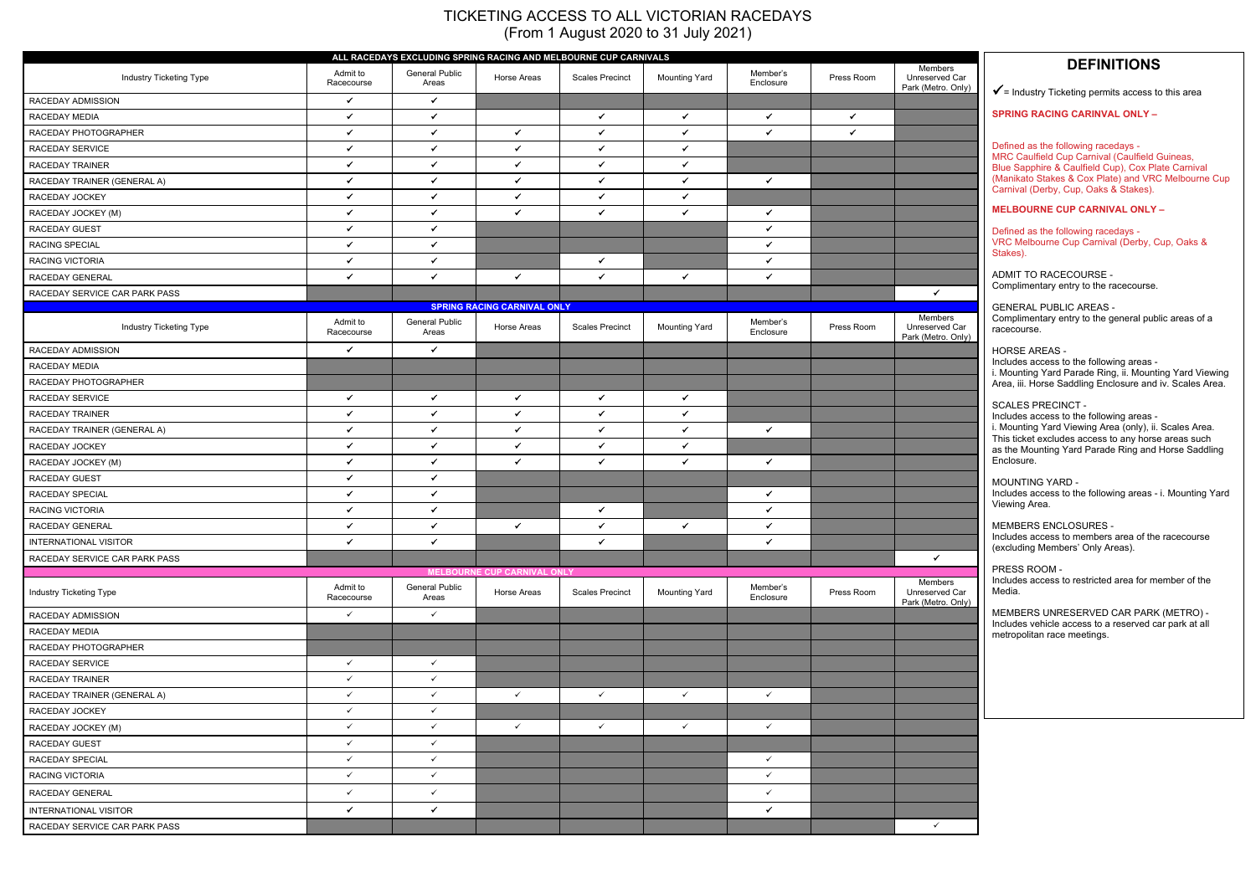# **DEFINITIONS**



 $\checkmark$  = Industry Ticketing permits access to this area

**SPRING RACING CARINVAL ONLY –** 

Defined as the following racedays - MRC Caulfield Cup Carnival (Caulfield Guineas, Blue Sapphire & Caulfield Cup), Cox Plate Carnival (Manikato Stakes & Cox Plate) and VRC Melbourne Cup Carnival (Derby, Cup, Oaks & Stakes).

# **MELBOURNE CUP CARNIVAL ONLY –**

Defined as the following racedays - VRC Melbourne Cup Carnival (Derby, Cup, Oaks & Stakes).

ADMIT TO RACECOURSE - Complimentary entry to the racecourse.

GENERAL PUBLIC AREAS - Complimentary entry to the general public areas of a racecourse.

HORSE AREAS -

Includes access to the following areas i. Mounting Yard Parade Ring, ii. Mounting Yard Viewing Area, iii. Horse Saddling Enclosure and iv. Scales Area.

# SCALES PRECINCT -

Includes access to the following areas i. Mounting Yard Viewing Area (only), ii. Scales Area. This ticket excludes access to any horse areas such as the Mounting Yard Parade Ring and Horse Saddling Enclosure.

MOUNTING YARD - Includes access to the following areas - i. Mounting Yard Viewing Area.

MEMBERS ENCLOSURES - Includes access to members area of the racecourse (excluding Members' Only Areas).

PRESS ROOM - Includes access to restricted area for member of the Media.

MEMBERS UNRESERVED CAR PARK (METRO) - Includes vehicle access to a reserved car park at all metropolitan race meetings.

# TICKETING ACCESS TO ALL VICTORIAN RACEDAYS (From 1 August 2020 to 31 July 2021)

| ALL RACEDAYS EXCLUDING SPRING RACING AND MELBOURNE CUP CARNIVALS |                        |                                |                                                   |                        |                      |                       |              |                                                 |  |
|------------------------------------------------------------------|------------------------|--------------------------------|---------------------------------------------------|------------------------|----------------------|-----------------------|--------------|-------------------------------------------------|--|
| Industry Ticketing Type                                          | Admit to<br>Racecourse | <b>General Public</b><br>Areas | Horse Areas                                       | <b>Scales Precinct</b> | <b>Mounting Yard</b> | Member's<br>Enclosure | Press Room   | Members<br>Unreserved Car<br>Park (Metro. Only) |  |
| RACEDAY ADMISSION                                                | $\checkmark$           | $\checkmark$                   |                                                   |                        |                      |                       |              |                                                 |  |
| RACEDAY MEDIA                                                    | $\checkmark$           | $\checkmark$                   |                                                   | $\checkmark$           | $\checkmark$         | $\checkmark$          | $\checkmark$ |                                                 |  |
| RACEDAY PHOTOGRAPHER                                             | $\checkmark$           | $\checkmark$                   | $\checkmark$                                      | $\checkmark$           | $\checkmark$         | $\checkmark$          | $\checkmark$ |                                                 |  |
| RACEDAY SERVICE                                                  | $\checkmark$           | $\checkmark$                   | $\checkmark$                                      | $\checkmark$           | $\checkmark$         |                       |              |                                                 |  |
| RACEDAY TRAINER                                                  | $\checkmark$           | $\checkmark$                   | $\checkmark$                                      | $\checkmark$           | $\checkmark$         |                       |              |                                                 |  |
| RACEDAY TRAINER (GENERAL A)                                      | $\checkmark$           | $\checkmark$                   | $\checkmark$                                      | $\checkmark$           | $\checkmark$         | $\checkmark$          |              |                                                 |  |
| RACEDAY JOCKEY                                                   | $\checkmark$           | $\checkmark$                   | $\checkmark$                                      | $\checkmark$           | $\checkmark$         |                       |              |                                                 |  |
| RACEDAY JOCKEY (M)                                               | $\checkmark$           | $\checkmark$                   | $\checkmark$                                      | $\checkmark$           | $\checkmark$         | $\checkmark$          |              |                                                 |  |
| <b>RACEDAY GUEST</b>                                             | $\checkmark$           | $\checkmark$                   |                                                   |                        |                      | $\checkmark$          |              |                                                 |  |
| RACING SPECIAL                                                   | $\checkmark$           | $\checkmark$                   |                                                   |                        |                      | $\checkmark$          |              |                                                 |  |
| RACING VICTORIA                                                  | $\checkmark$           | $\checkmark$                   |                                                   | $\checkmark$           |                      | $\checkmark$          |              |                                                 |  |
| RACEDAY GENERAL                                                  | $\checkmark$           | $\checkmark$                   | $\checkmark$                                      | $\checkmark$           | $\checkmark$         | $\checkmark$          |              |                                                 |  |
| RACEDAY SERVICE CAR PARK PASS                                    |                        |                                |                                                   |                        |                      |                       |              | $\checkmark$                                    |  |
|                                                                  |                        |                                | <b>SPRING RACING CARNIVAL ONLY</b>                |                        |                      |                       |              | Members                                         |  |
| Industry Ticketing Type                                          | Admit to<br>Racecourse | <b>General Public</b><br>Areas | Horse Areas                                       | <b>Scales Precinct</b> | <b>Mounting Yard</b> | Member's<br>Enclosure | Press Room   | Unreserved Car<br>Park (Metro. Only)            |  |
| RACEDAY ADMISSION                                                | $\checkmark$           | $\checkmark$                   |                                                   |                        |                      |                       |              |                                                 |  |
| RACEDAY MEDIA                                                    |                        |                                |                                                   |                        |                      |                       |              |                                                 |  |
| RACEDAY PHOTOGRAPHER                                             |                        |                                |                                                   |                        |                      |                       |              |                                                 |  |
| RACEDAY SERVICE                                                  | $\checkmark$           | $\checkmark$                   | $\checkmark$                                      | $\checkmark$           | $\checkmark$         |                       |              |                                                 |  |
| RACEDAY TRAINER                                                  | $\checkmark$           | $\checkmark$                   | $\checkmark$                                      | $\checkmark$           | $\checkmark$         |                       |              |                                                 |  |
| RACEDAY TRAINER (GENERAL A)                                      | $\checkmark$           | $\checkmark$                   | $\checkmark$                                      | $\checkmark$           | $\checkmark$         | $\checkmark$          |              |                                                 |  |
| RACEDAY JOCKEY                                                   | $\checkmark$           | $\checkmark$                   | $\checkmark$                                      | $\checkmark$           | $\checkmark$         |                       |              |                                                 |  |
| RACEDAY JOCKEY (M)                                               | $\checkmark$           | $\checkmark$                   | $\checkmark$                                      | $\checkmark$           | $\checkmark$         | $\checkmark$          |              |                                                 |  |
| RACEDAY GUEST                                                    | $\checkmark$           | $\checkmark$                   |                                                   |                        |                      |                       |              |                                                 |  |
| RACEDAY SPECIAL                                                  | $\checkmark$           | $\checkmark$                   |                                                   |                        |                      | $\checkmark$          |              |                                                 |  |
| RACING VICTORIA                                                  | $\checkmark$           | $\checkmark$                   |                                                   | $\checkmark$           |                      | $\checkmark$          |              |                                                 |  |
| RACEDAY GENERAL                                                  | $\checkmark$           | ✓                              | $\checkmark$                                      | $\checkmark$           | $\checkmark$         | $\checkmark$          |              |                                                 |  |
| INTERNATIONAL VISITOR                                            | $\checkmark$           | $\checkmark$                   |                                                   | ✓                      |                      | $\checkmark$          |              |                                                 |  |
| RACEDAY SERVICE CAR PARK PASS                                    |                        |                                |                                                   |                        |                      |                       |              | $\checkmark$                                    |  |
| Industry Ticketing Type                                          | Admit to<br>Racecourse | <b>General Public</b><br>Areas | <b>MELBOURNE CUP CARNIVAL ONLY</b><br>Horse Areas | <b>Scales Precinct</b> | <b>Mounting Yard</b> | Member's<br>Enclosure | Press Room   | <b>Members</b><br>Unreserved Car                |  |
| RACEDAY ADMISSION                                                | $\checkmark$           | $\checkmark$                   |                                                   |                        |                      |                       |              | Park (Metro. Only)                              |  |
| RACEDAY MEDIA                                                    |                        |                                |                                                   |                        |                      |                       |              |                                                 |  |
| RACEDAY PHOTOGRAPHER                                             |                        |                                |                                                   |                        |                      |                       |              |                                                 |  |
| RACEDAY SERVICE                                                  | $\checkmark$           | $\checkmark$                   |                                                   |                        |                      |                       |              |                                                 |  |
| RACEDAY TRAINER                                                  | $\checkmark$           | $\checkmark$                   |                                                   |                        |                      |                       |              |                                                 |  |
| RACEDAY TRAINER (GENERAL A)                                      | $\checkmark$           | $\checkmark$                   | $\checkmark$                                      | $\checkmark$           | $\checkmark$         | $\checkmark$          |              |                                                 |  |
| RACEDAY JOCKEY                                                   | $\checkmark$           | $\checkmark$                   |                                                   |                        |                      |                       |              |                                                 |  |
| RACEDAY JOCKEY (M)                                               | $\checkmark$           | $\checkmark$                   | $\checkmark$                                      | $\checkmark$           | $\checkmark$         | $\checkmark$          |              |                                                 |  |
| RACEDAY GUEST                                                    | $\checkmark$           | $\checkmark$                   |                                                   |                        |                      |                       |              |                                                 |  |
| RACEDAY SPECIAL                                                  | $\checkmark$           | $\checkmark$                   |                                                   |                        |                      | $\checkmark$          |              |                                                 |  |
| RACING VICTORIA                                                  | $\checkmark$           | $\checkmark$                   |                                                   |                        |                      | $\checkmark$          |              |                                                 |  |
| RACEDAY GENERAL                                                  | $\checkmark$           | $\checkmark$                   |                                                   |                        |                      | $\checkmark$          |              |                                                 |  |
|                                                                  | $\checkmark$           | $\checkmark$                   |                                                   |                        |                      | $\checkmark$          |              |                                                 |  |
| INTERNATIONAL VISITOR                                            |                        |                                |                                                   |                        |                      |                       |              | $\checkmark$                                    |  |
| RACEDAY SERVICE CAR PARK PASS                                    |                        |                                |                                                   |                        |                      |                       |              |                                                 |  |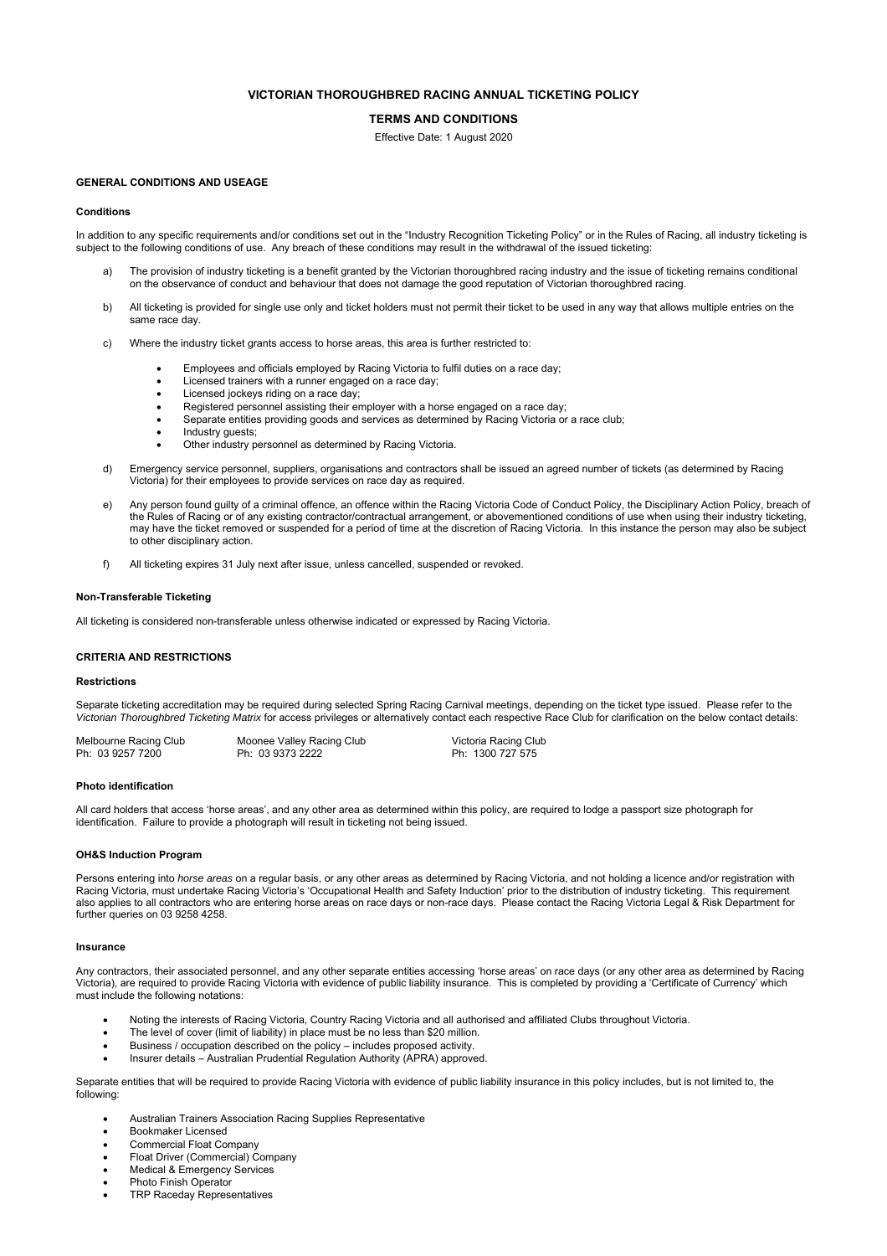# **VICTORIAN THOROUGHBRED RACING ANNUAL TICKETING POLICY**

# **TERMS AND CONDITIONS**

Effective Date: 1 August 2020

#### **GENERAL CONDITIONS AND USEAGE**

#### **Conditions**

In addition to any specific requirements and/or conditions set out in the "Industry Recognition Ticketing Policy" or in the Rules of Racing, all industry ticketing is subject to the following conditions of use. Any breach of these conditions may result in the withdrawal of the issued ticketing:

- The provision of industry ticketing is a benefit granted by the Victorian thoroughbred racing industry and the issue of ticketing remains conditional on the observance of conduct and behaviour that does not damage the good reputation of Victorian thoroughbred racing.
- b) All ticketing is provided for single use only and ticket holders must not permit their ticket to be used in any way that allows multiple entries on the same race day.
- c) Where the industry ticket grants access to horse areas, this area is further restricted to:
	- Employees and officials employed by Racing Victoria to fulfil duties on a race day;
	- Licensed trainers with a runner engaged on a race day;
	- Licensed jockeys riding on a race day;
	- Registered personnel assisting their employer with a horse engaged on a race day;
	- Separate entities providing goods and services as determined by Racing Victoria or a race club;
	- Industry guests;
	- Other industry personnel as determined by Racing Victoria.
- d) Emergency service personnel, suppliers, organisations and contractors shall be issued an agreed number of tickets (as determined by Racing Victoria) for their employees to provide services on race day as required.
- e) Any person found guilty of a criminal offence, an offence within the Racing Victoria Code of Conduct Policy, the Disciplinary Action Policy, breach of the Rules of Racing or of any existing contractor/contractual arrangement, or abovementioned conditions of use when using their industry ticketing, may have the ticket removed or suspended for a period of time at the discretion of Racing Victoria. In this instance the person may also be subject to other disciplinary action.
- f) All ticketing expires 31 July next after issue, unless cancelled, suspended or revoked.

#### **Non-Transferable Ticketing**

All ticketing is considered non-transferable unless otherwise indicated or expressed by Racing Victoria.

#### **CRITERIA AND RESTRICTIONS**

### **Restrictions**

Separate ticketing accreditation may be required during selected Spring Racing Carnival meetings, depending on the ticket type issued. Please refer to the *Victorian Thoroughbred Ticketing Matrix* for access privileges or alternatively contact each respective Race Club for clarification on the below contact details:

| Melbourne Racing Club | Moonee Valley Racing Club | Victoria Racing Club |
|-----------------------|---------------------------|----------------------|
| Ph: 03 9257 7200      | Ph: 03 9373 2222          | Ph: 1300 727 575     |

#### **Photo identification**

All card holders that access 'horse areas', and any other area as determined within this policy, are required to lodge a passport size photograph for identification. Failure to provide a photograph will result in ticketing not being issued.

#### **OH&S Induction Program**

Persons entering into *horse areas* on a regular basis, or any other areas as determined by Racing Victoria, and not holding a licence and/or registration with Racing Victoria, must undertake Racing Victoria's 'Occupational Health and Safety Induction' prior to the distribution of industry ticketing. This requirement also applies to all contractors who are entering horse areas on race days or non-race days. Please contact the Racing Victoria Legal & Risk Department for further queries on 03 9258 4258.

#### **Insurance**

Any contractors, their associated personnel, and any other separate entities accessing 'horse areas' on race days (or any other area as determined by Racing Victoria), are required to provide Racing Victoria with evidence of public liability insurance. This is completed by providing a 'Certificate of Currency' which must include the following notations:

- Noting the interests of Racing Victoria, Country Racing Victoria and all authorised and affiliated Clubs throughout Victoria.
- The level of cover (limit of liability) in place must be no less than \$20 million.
- Business / occupation described on the policy includes proposed activity.
- Insurer details Australian Prudential Regulation Authority (APRA) approved.

Separate entities that will be required to provide Racing Victoria with evidence of public liability insurance in this policy includes, but is not limited to, the following:

- Australian Trainers Association Racing Supplies Representative
- Bookmaker Licensed
- Commercial Float Company
- Float Driver (Commercial) Company
- Medical & Emergency Services
- Photo Finish Operator
- TRP Raceday Representatives